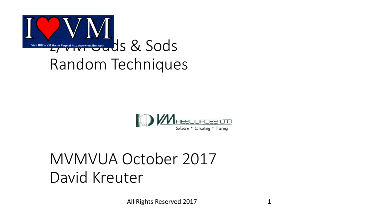



# MVMVUA October 2017 David Kreuter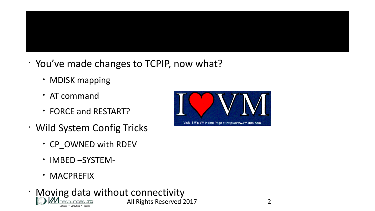

- You've made changes to TCPIP, now what?
	- MDISK mapping
	- AT command
	- FORCE and RESTART?
- Wild System Config Tricks
	- CP\_OWNED with RDEV
	- IMBED –SYSTEM-
	- MACPREFIX



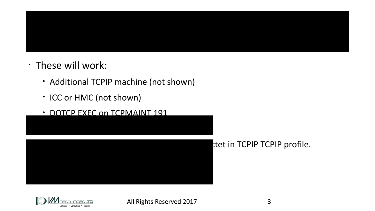

- These will work:
	- Additional TCPIP machine (not shown)
	- ICC or HMC (not shown)
	- DOTCP EXEC on TCPMAINT 191



## tet in TCPIP TCPIP profile.

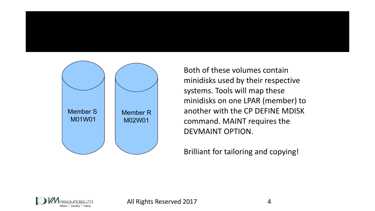



Both of these volumes contain minidisks used by their respective systems. Tools will map these minidisks on one LPAR (member) to another with the CP DEFINE MDISK command. MAINT requires the DEVMAINT OPTION.

Brilliant for tailoring and copying!

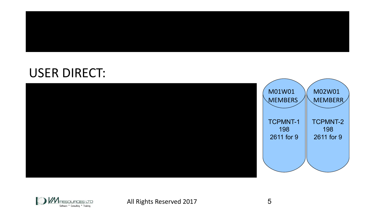

## USER DIRECT:



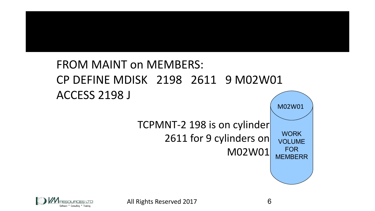# FROM MAINT on MEMBERS: CP DEFINE MDISK 2198 2611 9 M02W01 ACCESS 2198 J

### **WORK** VOLUME TCPMNT-2 198 is on cylinder 2611 for 9 cylinders on M02W01



FOR

M02W01

**MEMBERR**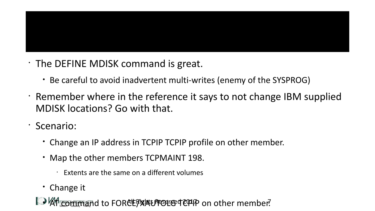- The DEFINE MDISK command is great.
	- Be careful to avoid inadvertent multi-writes (enemy of the SYSPROG)
- Remember where in the reference it says to not change IBM supplied MDISK locations? Go with that.
- Scenario:
	- Change an IP address in TCPIP TCPIP profile on other member.
	- Map the other members TCPMAINT 198.
		- $\cdot$  Extents are the same on a different volumes
	- Change it

**• AT command to FORCE XAUTOLG TCPIP on other member.**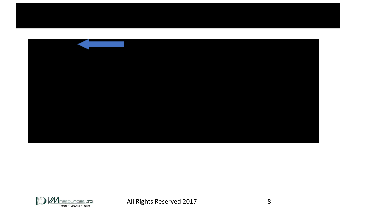



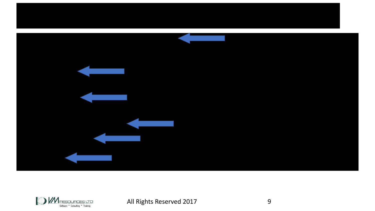



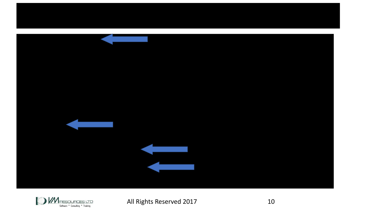

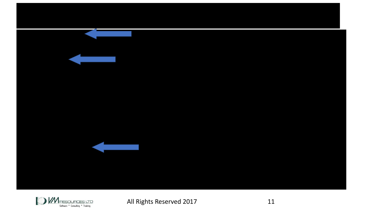

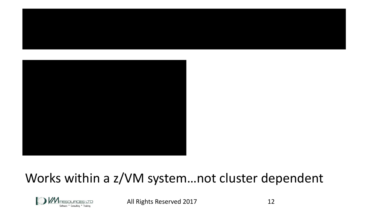



# Works within a z/VM system…not cluster dependent

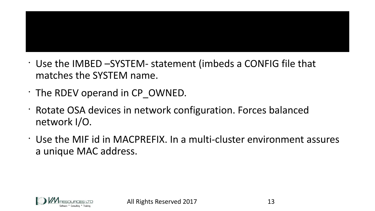- Use the IMBED –SYSTEM- statement (imbeds a CONFIG file that matches the SYSTEM name.
- The RDEV operand in CP\_OWNED.
- Rotate OSA devices in network configuration. Forces balanced network I/O.
- Use the MIF id in MACPREFIX. In a multi-cluster environment assures a unique MAC address.

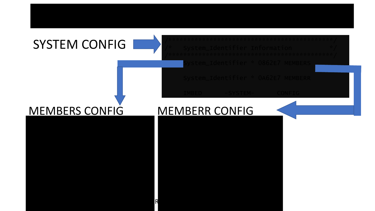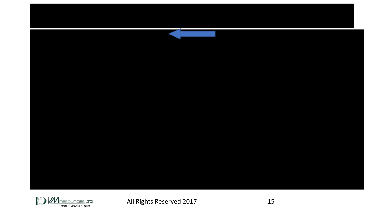

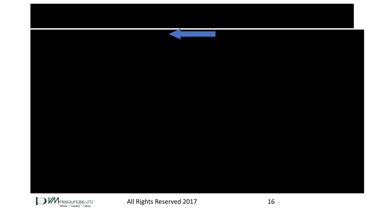

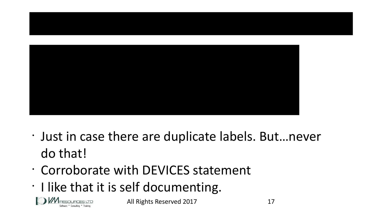

- Just in case there are duplicate labels. But…never do that!
- Corroborate with DEVICES statement
- I like that it is self documenting.

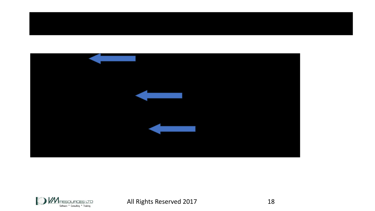# DASD 5421 CP OWNED VTPCMA 28



DASD 5421 CP OWNED VTPCMA 43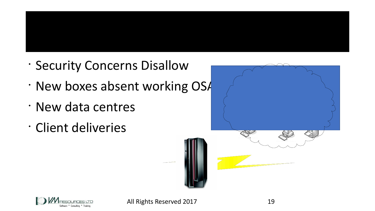

- Security Concerns Disallow
- New boxes absent working OSA
- New data centres
- Client deliveries



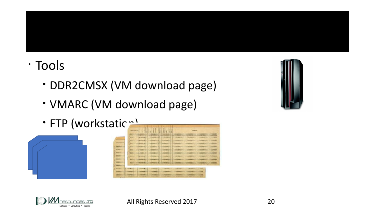

# • Tools

- DDR2CMSX (VM download page)
- VMARC (VM download page)
- FTP (workstatic







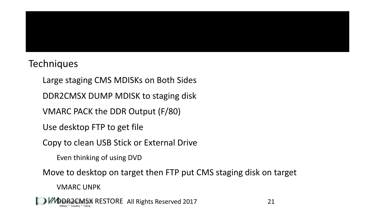

## **Techniques**

Large staging CMS MDISKs on Both Sides

DDR2CMSX DUMP MDISK to staging disk

VMARC PACK the DDR Output (F/80)

Use desktop FTP to get file

Copy to clean USB Stick or External Drive

Even thinking of using DVD

Move to desktop on target then FTP put CMS staging disk on target

VMARC UNPK